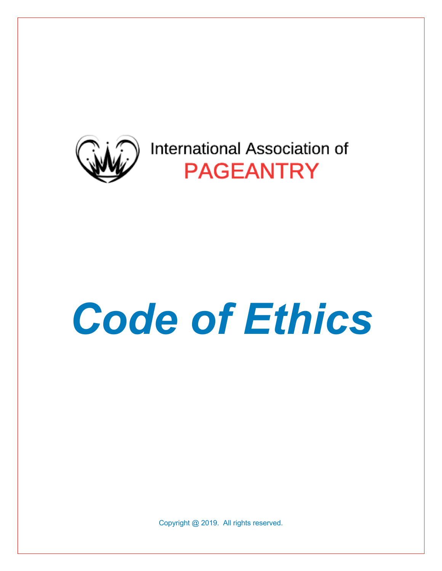

# *Code of Ethics*

Copyright @ 2019. All rights reserved.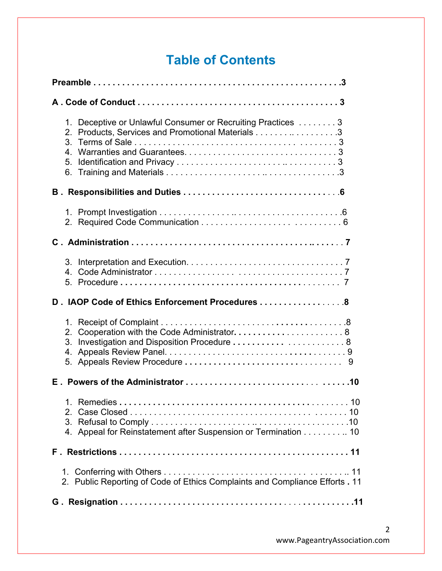# **Table of Contents**

| 1. Deceptive or Unlawful Consumer or Recruiting Practices 3<br>Products, Services and Promotional Materials 3<br>2.<br>4.<br>5. |
|---------------------------------------------------------------------------------------------------------------------------------|
|                                                                                                                                 |
|                                                                                                                                 |
|                                                                                                                                 |
| 4                                                                                                                               |
| D. IAOP Code of Ethics Enforcement Procedures  8                                                                                |
| Cooperation with the Code Administrator 8<br>2.<br>3. Investigation and Disposition Procedure  8<br>9                           |
|                                                                                                                                 |
| 4. Appeal for Reinstatement after Suspension or Termination 10                                                                  |
|                                                                                                                                 |
| 2. Public Reporting of Code of Ethics Complaints and Compliance Efforts . 11                                                    |
|                                                                                                                                 |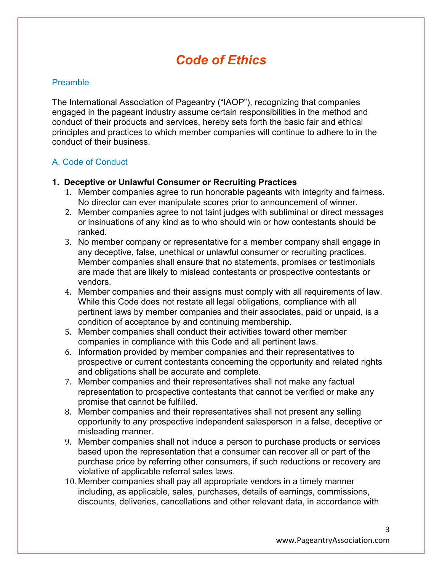# *Code of Ethics*

#### **Preamble**

The International Association of Pageantry ("IAOP"), recognizing that companies engaged in the pageant industry assume certain responsibilities in the method and conduct of their products and services, hereby sets forth the basic fair and ethical principles and practices to which member companies will continue to adhere to in the conduct of their business.

## A. Code of Conduct

#### **1. Deceptive or Unlawful Consumer or Recruiting Practices**

- 1. Member companies agree to run honorable pageants with integrity and fairness. No director can ever manipulate scores prior to announcement of winner.
- 2. Member companies agree to not taint judges with subliminal or direct messages or insinuations of any kind as to who should win or how contestants should be ranked.
- 3. No member company or representative for a member company shall engage in any deceptive, false, unethical or unlawful consumer or recruiting practices. Member companies shall ensure that no statements, promises or testimonials are made that are likely to mislead contestants or prospective contestants or vendors.
- 4. Member companies and their assigns must comply with all requirements of law. While this Code does not restate all legal obligations, compliance with all pertinent laws by member companies and their associates, paid or unpaid, is a condition of acceptance by and continuing membership.
- 5. Member companies shall conduct their activities toward other member companies in compliance with this Code and all pertinent laws.
- 6. Information provided by member companies and their representatives to prospective or current contestants concerning the opportunity and related rights and obligations shall be accurate and complete.
- 7. Member companies and their representatives shall not make any factual representation to prospective contestants that cannot be verified or make any promise that cannot be fulfilled.
- 8. Member companies and their representatives shall not present any selling opportunity to any prospective independent salesperson in a false, deceptive or misleading manner.
- 9. Member companies shall not induce a person to purchase products or services based upon the representation that a consumer can recover all or part of the purchase price by referring other consumers, if such reductions or recovery are violative of applicable referral sales laws.
- 10. Member companies shall pay all appropriate vendors in a timely manner including, as applicable, sales, purchases, details of earnings, commissions, discounts, deliveries, cancellations and other relevant data, in accordance with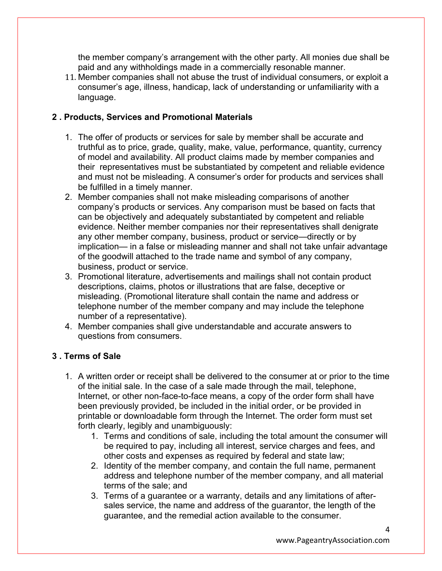the member company's arrangement with the other party. All monies due shall be paid and any withholdings made in a commercially resonable manner.

11. Member companies shall not abuse the trust of individual consumers, or exploit a consumer's age, illness, handicap, lack of understanding or unfamiliarity with a language.

## **2 . Products, Services and Promotional Materials**

- 1. The offer of products or services for sale by member shall be accurate and truthful as to price, grade, quality, make, value, performance, quantity, currency of model and availability. All product claims made by member companies and their representatives must be substantiated by competent and reliable evidence and must not be misleading. A consumer's order for products and services shall be fulfilled in a timely manner.
- 2. Member companies shall not make misleading comparisons of another company's products or services. Any comparison must be based on facts that can be objectively and adequately substantiated by competent and reliable evidence. Neither member companies nor their representatives shall denigrate any other member company, business, product or service—directly or by implication— in a false or misleading manner and shall not take unfair advantage of the goodwill attached to the trade name and symbol of any company, business, product or service.
- 3. Promotional literature, advertisements and mailings shall not contain product descriptions, claims, photos or illustrations that are false, deceptive or misleading. (Promotional literature shall contain the name and address or telephone number of the member company and may include the telephone number of a representative).
- 4. Member companies shall give understandable and accurate answers to questions from consumers.

# **3 . Terms of Sale**

- 1. A written order or receipt shall be delivered to the consumer at or prior to the time of the initial sale. In the case of a sale made through the mail, telephone, Internet, or other non-face-to-face means, a copy of the order form shall have been previously provided, be included in the initial order, or be provided in printable or downloadable form through the Internet. The order form must set forth clearly, legibly and unambiguously:
	- 1. Terms and conditions of sale, including the total amount the consumer will be required to pay, including all interest, service charges and fees, and other costs and expenses as required by federal and state law;
	- 2. Identity of the member company, and contain the full name, permanent address and telephone number of the member company, and all material terms of the sale; and
	- 3. Terms of a guarantee or a warranty, details and any limitations of aftersales service, the name and address of the guarantor, the length of the guarantee, and the remedial action available to the consumer.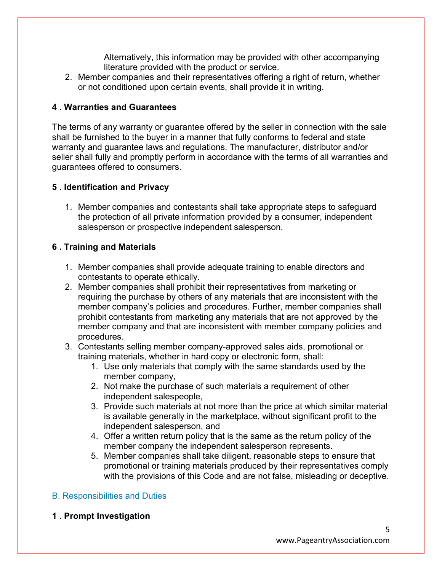Alternatively, this information may be provided with other accompanying literature provided with the product or service.

2. Member companies and their representatives offering a right of return, whether or not conditioned upon certain events, shall provide it in writing.

# **4 . Warranties and Guarantees**

The terms of any warranty or guarantee offered by the seller in connection with the sale shall be furnished to the buyer in a manner that fully conforms to federal and state warranty and guarantee laws and regulations. The manufacturer, distributor and/or seller shall fully and promptly perform in accordance with the terms of all warranties and guarantees offered to consumers.

## **5 . Identification and Privacy**

1. Member companies and contestants shall take appropriate steps to safeguard the protection of all private information provided by a consumer, independent salesperson or prospective independent salesperson.

# **6 . Training and Materials**

- 1. Member companies shall provide adequate training to enable directors and contestants to operate ethically.
- 2. Member companies shall prohibit their representatives from marketing or requiring the purchase by others of any materials that are inconsistent with the member company's policies and procedures. Further, member companies shall prohibit contestants from marketing any materials that are not approved by the member company and that are inconsistent with member company policies and procedures.
- 3. Contestants selling member company-approved sales aids, promotional or training materials, whether in hard copy or electronic form, shall:
	- 1. Use only materials that comply with the same standards used by the member company,
	- 2. Not make the purchase of such materials a requirement of other independent salespeople,
	- 3. Provide such materials at not more than the price at which similar material is available generally in the marketplace, without significant profit to the independent salesperson, and
	- 4. Offer a written return policy that is the same as the return policy of the member company the independent salesperson represents.
	- 5. Member companies shall take diligent, reasonable steps to ensure that promotional or training materials produced by their representatives comply with the provisions of this Code and are not false, misleading or deceptive.

# B. Responsibilities and Duties

**1 . Prompt Investigation**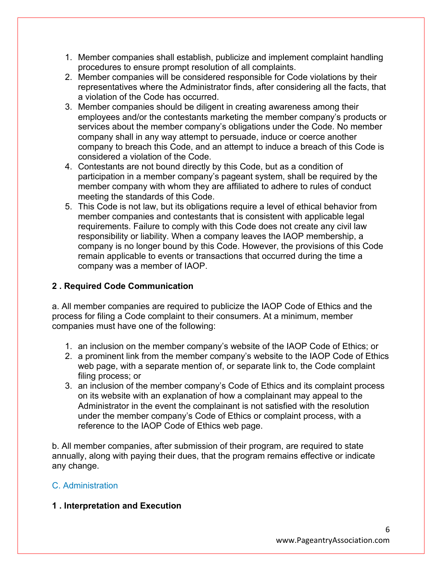- 1. Member companies shall establish, publicize and implement complaint handling procedures to ensure prompt resolution of all complaints.
- 2. Member companies will be considered responsible for Code violations by their representatives where the Administrator finds, after considering all the facts, that a violation of the Code has occurred.
- 3. Member companies should be diligent in creating awareness among their employees and/or the contestants marketing the member company's products or services about the member company's obligations under the Code. No member company shall in any way attempt to persuade, induce or coerce another company to breach this Code, and an attempt to induce a breach of this Code is considered a violation of the Code.
- 4. Contestants are not bound directly by this Code, but as a condition of participation in a member company's pageant system, shall be required by the member company with whom they are affiliated to adhere to rules of conduct meeting the standards of this Code.
- 5. This Code is not law, but its obligations require a level of ethical behavior from member companies and contestants that is consistent with applicable legal requirements. Failure to comply with this Code does not create any civil law responsibility or liability. When a company leaves the IAOP membership, a company is no longer bound by this Code. However, the provisions of this Code remain applicable to events or transactions that occurred during the time a company was a member of IAOP.

# **2 . Required Code Communication**

a. All member companies are required to publicize the IAOP Code of Ethics and the process for filing a Code complaint to their consumers. At a minimum, member companies must have one of the following:

- 1. an inclusion on the member company's website of the IAOP Code of Ethics; or
- 2. a prominent link from the member company's website to the IAOP Code of Ethics web page, with a separate mention of, or separate link to, the Code complaint filing process; or
- 3. an inclusion of the member company's Code of Ethics and its complaint process on its website with an explanation of how a complainant may appeal to the Administrator in the event the complainant is not satisfied with the resolution under the member company's Code of Ethics or complaint process, with a reference to the IAOP Code of Ethics web page.

b. All member companies, after submission of their program, are required to state annually, along with paying their dues, that the program remains effective or indicate any change.

# C. Administration

# **1 . Interpretation and Execution**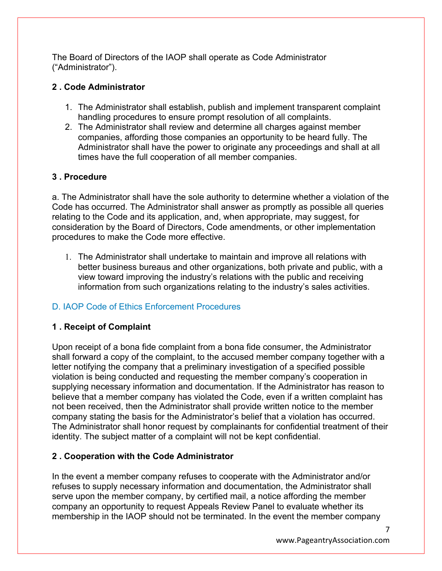The Board of Directors of the IAOP shall operate as Code Administrator ("Administrator").

# **2 . Code Administrator**

- 1. The Administrator shall establish, publish and implement transparent complaint handling procedures to ensure prompt resolution of all complaints.
- 2. The Administrator shall review and determine all charges against member companies, affording those companies an opportunity to be heard fully. The Administrator shall have the power to originate any proceedings and shall at all times have the full cooperation of all member companies.

# **3 . Procedure**

a. The Administrator shall have the sole authority to determine whether a violation of the Code has occurred. The Administrator shall answer as promptly as possible all queries relating to the Code and its application, and, when appropriate, may suggest, for consideration by the Board of Directors, Code amendments, or other implementation procedures to make the Code more effective.

1. The Administrator shall undertake to maintain and improve all relations with better business bureaus and other organizations, both private and public, with a view toward improving the industry's relations with the public and receiving information from such organizations relating to the industry's sales activities.

# D. IAOP Code of Ethics Enforcement Procedures

# **1 . Receipt of Complaint**

Upon receipt of a bona fide complaint from a bona fide consumer, the Administrator shall forward a copy of the complaint, to the accused member company together with a letter notifying the company that a preliminary investigation of a specified possible violation is being conducted and requesting the member company's cooperation in supplying necessary information and documentation. If the Administrator has reason to believe that a member company has violated the Code, even if a written complaint has not been received, then the Administrator shall provide written notice to the member company stating the basis for the Administrator's belief that a violation has occurred. The Administrator shall honor request by complainants for confidential treatment of their identity. The subject matter of a complaint will not be kept confidential.

# **2 . Cooperation with the Code Administrator**

In the event a member company refuses to cooperate with the Administrator and/or refuses to supply necessary information and documentation, the Administrator shall serve upon the member company, by certified mail, a notice affording the member company an opportunity to request Appeals Review Panel to evaluate whether its membership in the IAOP should not be terminated. In the event the member company

7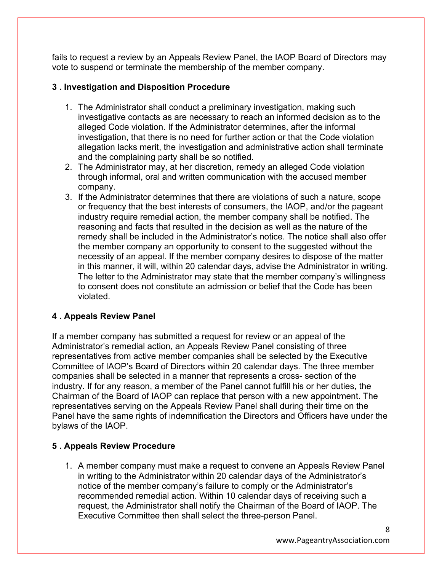fails to request a review by an Appeals Review Panel, the IAOP Board of Directors may vote to suspend or terminate the membership of the member company.

## **3 . Investigation and Disposition Procedure**

- 1. The Administrator shall conduct a preliminary investigation, making such investigative contacts as are necessary to reach an informed decision as to the alleged Code violation. If the Administrator determines, after the informal investigation, that there is no need for further action or that the Code violation allegation lacks merit, the investigation and administrative action shall terminate and the complaining party shall be so notified.
- 2. The Administrator may, at her discretion, remedy an alleged Code violation through informal, oral and written communication with the accused member company.
- 3. If the Administrator determines that there are violations of such a nature, scope or frequency that the best interests of consumers, the IAOP, and/or the pageant industry require remedial action, the member company shall be notified. The reasoning and facts that resulted in the decision as well as the nature of the remedy shall be included in the Administrator's notice. The notice shall also offer the member company an opportunity to consent to the suggested without the necessity of an appeal. If the member company desires to dispose of the matter in this manner, it will, within 20 calendar days, advise the Administrator in writing. The letter to the Administrator may state that the member company's willingness to consent does not constitute an admission or belief that the Code has been violated.

## **4 . Appeals Review Panel**

If a member company has submitted a request for review or an appeal of the Administrator's remedial action, an Appeals Review Panel consisting of three representatives from active member companies shall be selected by the Executive Committee of IAOP's Board of Directors within 20 calendar days. The three member companies shall be selected in a manner that represents a cross- section of the industry. If for any reason, a member of the Panel cannot fulfill his or her duties, the Chairman of the Board of IAOP can replace that person with a new appointment. The representatives serving on the Appeals Review Panel shall during their time on the Panel have the same rights of indemnification the Directors and Officers have under the bylaws of the IAOP.

## **5 . Appeals Review Procedure**

1. A member company must make a request to convene an Appeals Review Panel in writing to the Administrator within 20 calendar days of the Administrator's notice of the member company's failure to comply or the Administrator's recommended remedial action. Within 10 calendar days of receiving such a request, the Administrator shall notify the Chairman of the Board of IAOP. The Executive Committee then shall select the three-person Panel.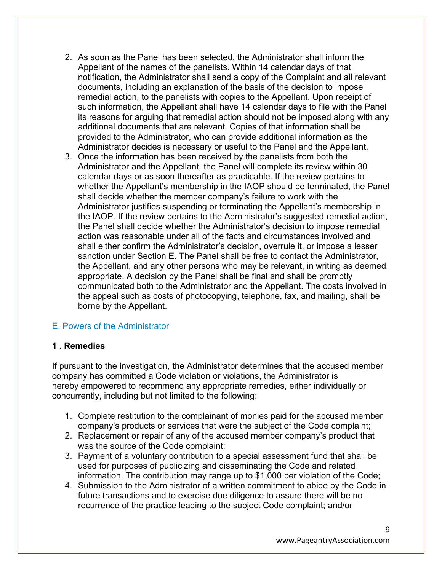- 2. As soon as the Panel has been selected, the Administrator shall inform the Appellant of the names of the panelists. Within 14 calendar days of that notification, the Administrator shall send a copy of the Complaint and all relevant documents, including an explanation of the basis of the decision to impose remedial action, to the panelists with copies to the Appellant. Upon receipt of such information, the Appellant shall have 14 calendar days to file with the Panel its reasons for arguing that remedial action should not be imposed along with any additional documents that are relevant. Copies of that information shall be provided to the Administrator, who can provide additional information as the Administrator decides is necessary or useful to the Panel and the Appellant.
- 3. Once the information has been received by the panelists from both the Administrator and the Appellant, the Panel will complete its review within 30 calendar days or as soon thereafter as practicable. If the review pertains to whether the Appellant's membership in the IAOP should be terminated, the Panel shall decide whether the member company's failure to work with the Administrator justifies suspending or terminating the Appellant's membership in the IAOP. If the review pertains to the Administrator's suggested remedial action, the Panel shall decide whether the Administrator's decision to impose remedial action was reasonable under all of the facts and circumstances involved and shall either confirm the Administrator's decision, overrule it, or impose a lesser sanction under Section E. The Panel shall be free to contact the Administrator, the Appellant, and any other persons who may be relevant, in writing as deemed appropriate. A decision by the Panel shall be final and shall be promptly communicated both to the Administrator and the Appellant. The costs involved in the appeal such as costs of photocopying, telephone, fax, and mailing, shall be borne by the Appellant.

## E. Powers of the Administrator

#### **1 . Remedies**

If pursuant to the investigation, the Administrator determines that the accused member company has committed a Code violation or violations, the Administrator is hereby empowered to recommend any appropriate remedies, either individually or concurrently, including but not limited to the following:

- 1. Complete restitution to the complainant of monies paid for the accused member company's products or services that were the subject of the Code complaint;
- 2. Replacement or repair of any of the accused member company's product that was the source of the Code complaint;
- 3. Payment of a voluntary contribution to a special assessment fund that shall be used for purposes of publicizing and disseminating the Code and related information. The contribution may range up to \$1,000 per violation of the Code;
- 4. Submission to the Administrator of a written commitment to abide by the Code in future transactions and to exercise due diligence to assure there will be no recurrence of the practice leading to the subject Code complaint; and/or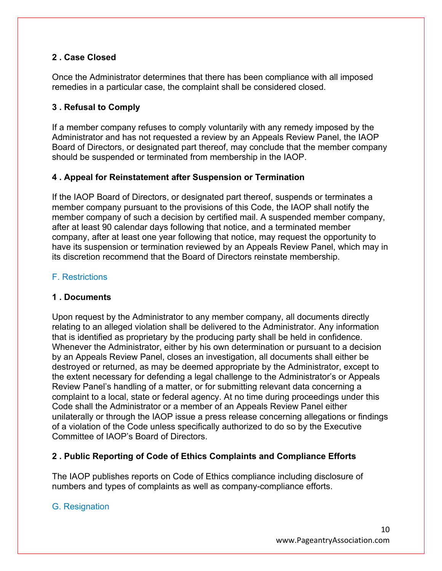## **2 . Case Closed**

Once the Administrator determines that there has been compliance with all imposed remedies in a particular case, the complaint shall be considered closed.

# **3 . Refusal to Comply**

If a member company refuses to comply voluntarily with any remedy imposed by the Administrator and has not requested a review by an Appeals Review Panel, the IAOP Board of Directors, or designated part thereof, may conclude that the member company should be suspended or terminated from membership in the IAOP.

# **4 . Appeal for Reinstatement after Suspension or Termination**

If the IAOP Board of Directors, or designated part thereof, suspends or terminates a member company pursuant to the provisions of this Code, the IAOP shall notify the member company of such a decision by certified mail. A suspended member company, after at least 90 calendar days following that notice, and a terminated member company, after at least one year following that notice, may request the opportunity to have its suspension or termination reviewed by an Appeals Review Panel, which may in its discretion recommend that the Board of Directors reinstate membership.

## F. Restrictions

## **1 . Documents**

Upon request by the Administrator to any member company, all documents directly relating to an alleged violation shall be delivered to the Administrator. Any information that is identified as proprietary by the producing party shall be held in confidence. Whenever the Administrator, either by his own determination or pursuant to a decision by an Appeals Review Panel, closes an investigation, all documents shall either be destroyed or returned, as may be deemed appropriate by the Administrator, except to the extent necessary for defending a legal challenge to the Administrator's or Appeals Review Panel's handling of a matter, or for submitting relevant data concerning a complaint to a local, state or federal agency. At no time during proceedings under this Code shall the Administrator or a member of an Appeals Review Panel either unilaterally or through the IAOP issue a press release concerning allegations or findings of a violation of the Code unless specifically authorized to do so by the Executive Committee of IAOP's Board of Directors.

## **2 . Public Reporting of Code of Ethics Complaints and Compliance Efforts**

The IAOP publishes reports on Code of Ethics compliance including disclosure of numbers and types of complaints as well as company-compliance efforts.

## G. Resignation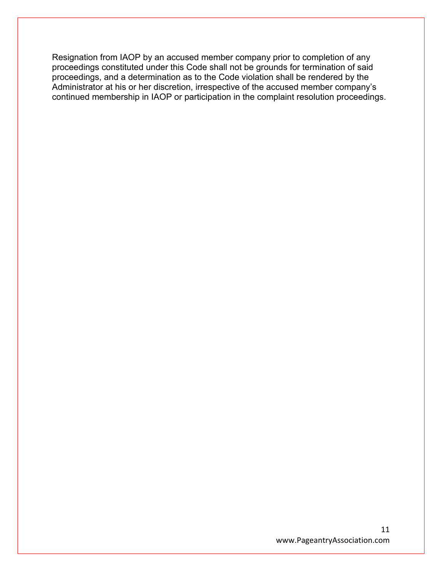Resignation from IAOP by an accused member company prior to completion of any proceedings constituted under this Code shall not be grounds for termination of said proceedings, and a determination as to the Code violation shall be rendered by the Administrator at his or her discretion, irrespective of the accused member company's continued membership in IAOP or participation in the complaint resolution proceedings.